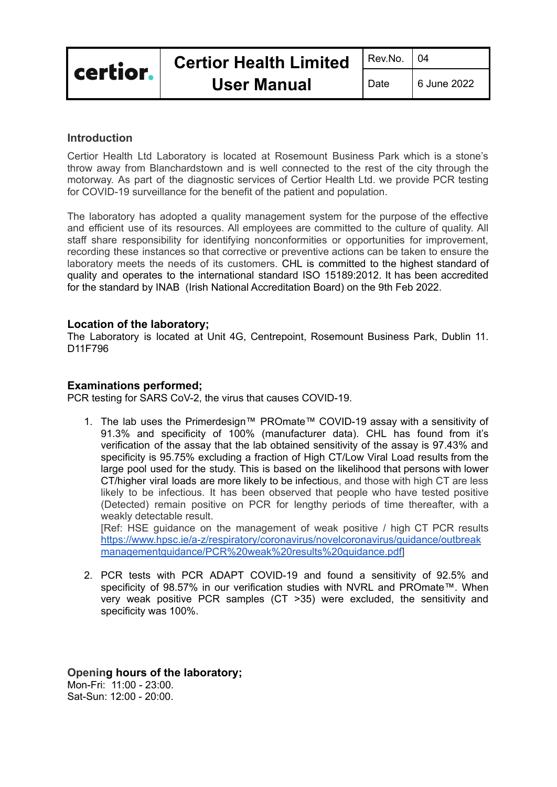# **Introduction**

Certior Health Ltd Laboratory is located at Rosemount Business Park which is a stone's throw away from Blanchardstown and is well connected to the rest of the city through the motorway. As part of the diagnostic services of Certior Health Ltd. we provide PCR testing for COVID-19 surveillance for the benefit of the patient and population.

The laboratory has adopted a quality management system for the purpose of the effective and efficient use of its resources. All employees are committed to the culture of quality. All staff share responsibility for identifying nonconformities or opportunities for improvement, recording these instances so that corrective or preventive actions can be taken to ensure the laboratory meets the needs of its customers. CHL is committed to the highest standard of quality and operates to the international standard ISO 15189:2012. It has been accredited for the standard by INAB (Irish National Accreditation Board) on the 9th Feb 2022.

# **Location of the laboratory;**

The Laboratory is located at Unit 4G, Centrepoint, Rosemount Business Park, Dublin 11. D11F796

# **Examinations performed;**

PCR testing for SARS CoV-2, the virus that causes COVID-19.

1. The lab uses the Primerdesign™ PROmate™ COVID-19 assay with a sensitivity of 91.3% and specificity of 100% (manufacturer data). CHL has found from it's verification of the assay that the lab obtained sensitivity of the assay is 97.43% and specificity is 95.75% excluding a fraction of High CT/Low Viral Load results from the large pool used for the study. This is based on the likelihood that persons with lower CT/higher viral loads are more likely to be infectious, and those with high CT are less likely to be infectious. It has been observed that people who have tested positive (Detected) remain positive on PCR for lengthy periods of time thereafter, with a weakly detectable result.

[Ref: HSE guidance on the management of weak positive / high CT PCR results [https://www.hpsc.ie/a-z/respiratory/coronavirus/novelcoronavirus/guidance/outbreak](https://www.hpsc.ie/a-z/respiratory/coronavirus/novelcoronavirus/guidance/outbreakmanagementguidance/PCR%20weak%20results%20guidance.pdf) [managementguidance/PCR%20weak%20results%20guidance.pdf](https://www.hpsc.ie/a-z/respiratory/coronavirus/novelcoronavirus/guidance/outbreakmanagementguidance/PCR%20weak%20results%20guidance.pdf)]

2. PCR tests with PCR ADAPT COVID-19 and found a sensitivity of 92.5% and specificity of 98.57% in our verification studies with NVRL and PROmate™. When very weak positive PCR samples (CT >35) were excluded, the sensitivity and specificity was 100%.

**Opening hours of the laboratory;** Mon-Fri: 11:00 - 23:00. Sat-Sun: 12:00 - 20:00.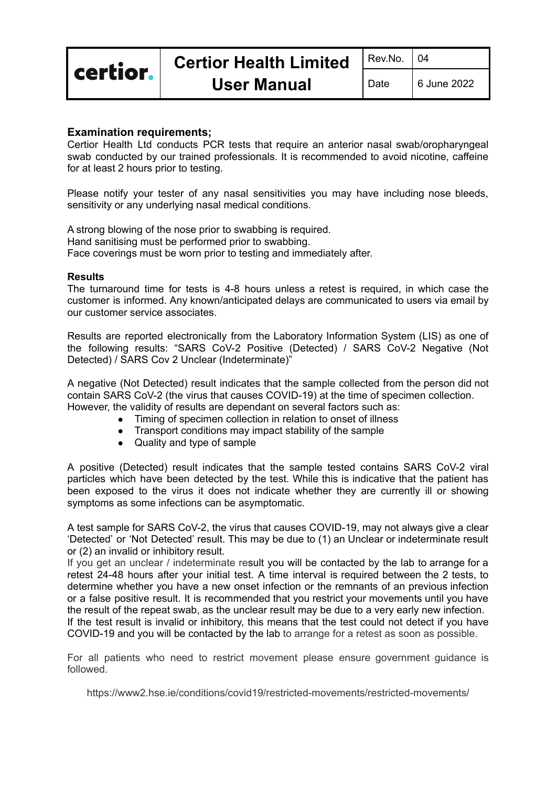certior.

Date  $\begin{array}{c} \boxed{6} \text{ June } 2022 \end{array}$ 

# **Examination requirements;**

Certior Health Ltd conducts PCR tests that require an anterior nasal swab/oropharyngeal swab conducted by our trained professionals. It is recommended to avoid nicotine, caffeine for at least 2 hours prior to testing.

Please notify your tester of any nasal sensitivities you may have including nose bleeds, sensitivity or any underlying nasal medical conditions.

A strong blowing of the nose prior to swabbing is required. Hand sanitising must be performed prior to swabbing. Face coverings must be worn prior to testing and immediately after.

#### **Results**

The turnaround time for tests is 4-8 hours unless a retest is required, in which case the customer is informed. Any known/anticipated delays are communicated to users via email by our customer service associates.

Results are reported electronically from the Laboratory Information System (LIS) as one of the following results: "SARS CoV-2 Positive (Detected) / SARS CoV-2 Negative (Not Detected) / SARS Cov 2 Unclear (Indeterminate)"

A negative (Not Detected) result indicates that the sample collected from the person did not contain SARS CoV-2 (the virus that causes COVID-19) at the time of specimen collection. However, the validity of results are dependant on several factors such as:

- Timing of specimen collection in relation to onset of illness
- Transport conditions may impact stability of the sample
- Quality and type of sample

A positive (Detected) result indicates that the sample tested contains SARS CoV-2 viral particles which have been detected by the test. While this is indicative that the patient has been exposed to the virus it does not indicate whether they are currently ill or showing symptoms as some infections can be asymptomatic.

A test sample for SARS CoV-2, the virus that causes COVID-19, may not always give a clear 'Detected' or 'Not Detected' result. This may be due to (1) an Unclear or indeterminate result or (2) an invalid or inhibitory result.

If you get an unclear / indeterminate result you will be contacted by the lab to arrange for a retest 24-48 hours after your initial test. A time interval is required between the 2 tests, to determine whether you have a new onset infection or the remnants of an previous infection or a false positive result. It is recommended that you restrict your movements until you have the result of the repeat swab, as the unclear result may be due to a very early new infection. If the test result is invalid or inhibitory, this means that the test could not detect if you have COVID-19 and you will be contacted by the lab to arrange for a retest as soon as possible.

For all patients who need to restrict movement please ensure government guidance is followed.

https://www2.hse.ie/conditions/covid19/restricted-movements/restricted-movements/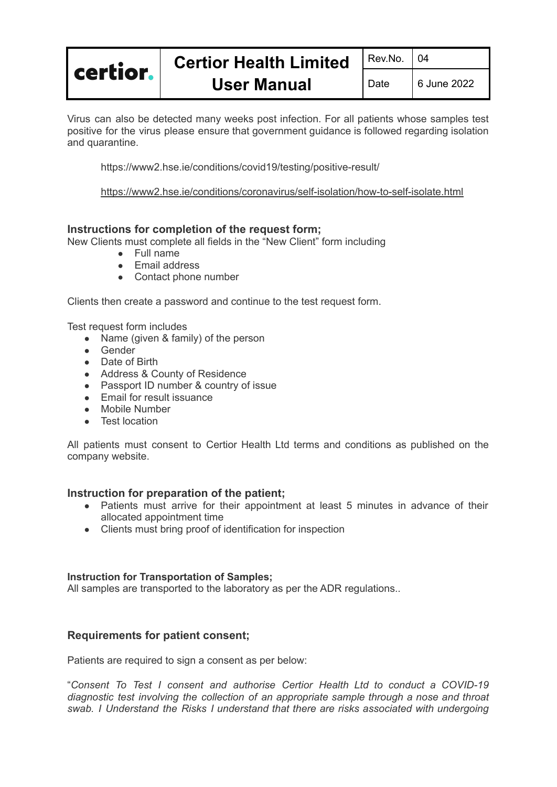

Virus can also be detected many weeks post infection. For all patients whose samples test positive for the virus please ensure that government guidance is followed regarding isolation and quarantine.

https://www2.hse.ie/conditions/covid19/testing/positive-result/

<https://www2.hse.ie/conditions/coronavirus/self-isolation/how-to-self-isolate.html>

# **Instructions for completion of the request form;**

New Clients must complete all fields in the "New Client" form including

- Full name
- Email address
- Contact phone number

Clients then create a password and continue to the test request form.

Test request form includes

- Name (given & family) of the person
- Gender
- Date of Birth
- Address & County of Residence
- Passport ID number & country of issue
- **Email for result issuance**
- Mobile Number
- Test location

All patients must consent to Certior Health Ltd terms and conditions as published on the company website.

### **Instruction for preparation of the patient;**

- Patients must arrive for their appointment at least 5 minutes in advance of their allocated appointment time
- Clients must bring proof of identification for inspection

### **Instruction for Transportation of Samples;**

All samples are transported to the laboratory as per the ADR regulations..

# **Requirements for patient consent;**

Patients are required to sign a consent as per below:

"*Consent To Test I consent and authorise Certior Health Ltd to conduct a COVID-19 diagnostic test involving the collection of an appropriate sample through a nose and throat swab. I Understand the Risks I understand that there are risks associated with undergoing*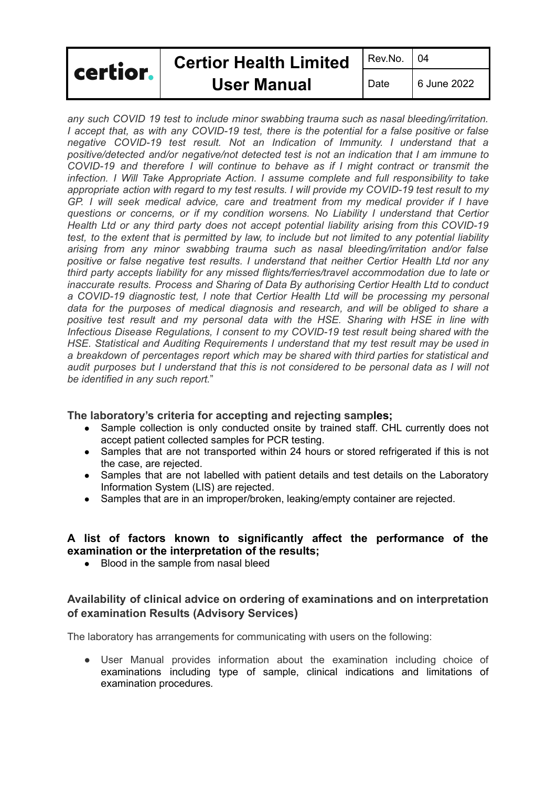| certior. | <b>Certior Health Limited</b> | Rev.No.   04 |             |
|----------|-------------------------------|--------------|-------------|
|          | <b>User Manual</b>            | Date         | 6 June 2022 |

*any such COVID 19 test to include minor swabbing trauma such as nasal bleeding/irritation. I accept that, as with any COVID-19 test, there is the potential for a false positive or false negative COVID-19 test result. Not an Indication of Immunity. I understand that a positive/detected and/or negative/not detected test is not an indication that I am immune to COVID-19 and therefore I will continue to behave as if I might contract or transmit the infection. I Will Take Appropriate Action. I assume complete and full responsibility to take appropriate action with regard to my test results. I will provide my COVID-19 test result to my GP. I will seek medical advice, care and treatment from my medical provider if I have questions or concerns, or if my condition worsens. No Liability I understand that Certior Health Ltd or any third party does not accept potential liability arising from this COVID-19* test, to the extent that is permitted by law, to include but not limited to any potential liability *arising from any minor swabbing trauma such as nasal bleeding/irritation and/or false positive or false negative test results. I understand that neither Certior Health Ltd nor any third party accepts liability for any missed flights/ferries/travel accommodation due to late or inaccurate results. Process and Sharing of Data By authorising Certior Health Ltd to conduct a COVID-19 diagnostic test, I note that Certior Health Ltd will be processing my personal data for the purposes of medical diagnosis and research, and will be obliged to share a positive test result and my personal data with the HSE. Sharing with HSE in line with Infectious Disease Regulations, I consent to my COVID-19 test result being shared with the HSE. Statistical and Auditing Requirements I understand that my test result may be used in a breakdown of percentages report which may be shared with third parties for statistical and audit purposes but I understand that this is not considered to be personal data as I will not be identified in any such report.*"

### **The laboratory's criteria for accepting and rejecting samples;**

- Sample collection is only conducted onsite by trained staff. CHL currently does not accept patient collected samples for PCR testing.
- Samples that are not transported within 24 hours or stored refrigerated if this is not the case, are rejected.
- Samples that are not labelled with patient details and test details on the Laboratory Information System (LIS) are rejected.
- Samples that are in an improper/broken, leaking/empty container are rejected.

# **A list of factors known to significantly affect the performance of the examination or the interpretation of the results;**

• Blood in the sample from nasal bleed

# **Availability of clinical advice on ordering of examinations and on interpretation of examination Results (Advisory Services)**

The laboratory has arrangements for communicating with users on the following:

● User Manual provides information about the examination including choice of examinations including type of sample, clinical indications and limitations of examination procedures*.*